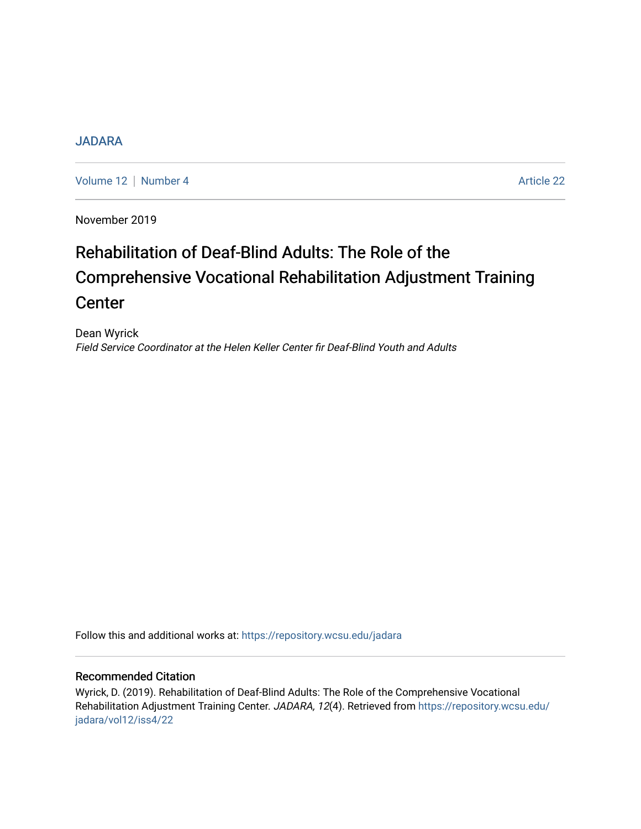## [JADARA](https://repository.wcsu.edu/jadara)

[Volume 12](https://repository.wcsu.edu/jadara/vol12) | [Number 4](https://repository.wcsu.edu/jadara/vol12/iss4) Article 22

November 2019

# Rehabilitation of Deaf-Blind Adults: The Role of the Comprehensive Vocational Rehabilitation Adjustment Training **Center**

Dean Wyrick Field Service Coordinator at the Helen Keller Center fir Deaf-Blind Youth and Adults

Follow this and additional works at: [https://repository.wcsu.edu/jadara](https://repository.wcsu.edu/jadara?utm_source=repository.wcsu.edu%2Fjadara%2Fvol12%2Fiss4%2F22&utm_medium=PDF&utm_campaign=PDFCoverPages)

#### Recommended Citation

Wyrick, D. (2019). Rehabilitation of Deaf-Blind Adults: The Role of the Comprehensive Vocational Rehabilitation Adjustment Training Center. JADARA, 12(4). Retrieved from [https://repository.wcsu.edu/](https://repository.wcsu.edu/jadara/vol12/iss4/22?utm_source=repository.wcsu.edu%2Fjadara%2Fvol12%2Fiss4%2F22&utm_medium=PDF&utm_campaign=PDFCoverPages) [jadara/vol12/iss4/22](https://repository.wcsu.edu/jadara/vol12/iss4/22?utm_source=repository.wcsu.edu%2Fjadara%2Fvol12%2Fiss4%2F22&utm_medium=PDF&utm_campaign=PDFCoverPages)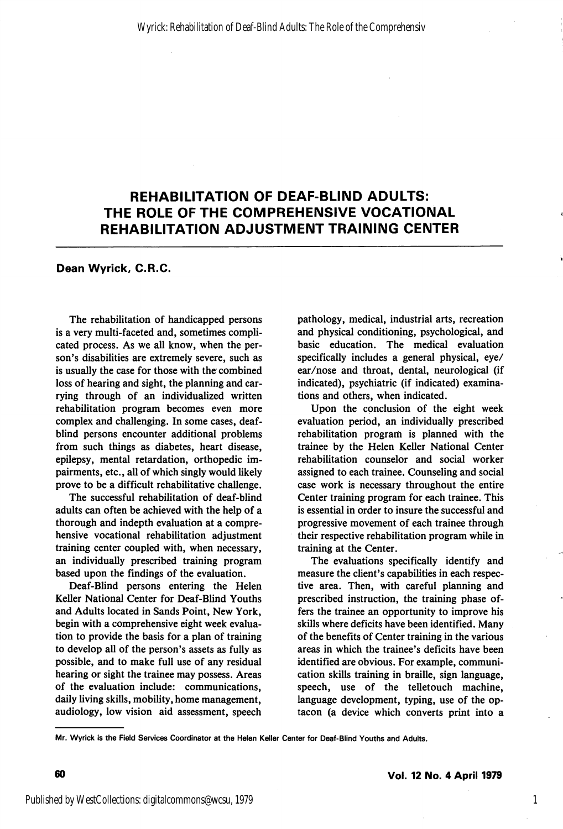## REHABILITATION OF DEAF-BLIND ADULTS: THE ROLE OF THE COMPREHENSIVE VOCATIONAL REHABILITATION ADJUSTMENT TRAINING CENTER

#### Dean Wyrick, C.R.C.

The rehabilitation of handicapped persons is a very multi-faceted and, sometimes compli cated process. As we all know, when the per son's disabilities are extremely severe, such as is usually the case for those with the combined loss of hearing and sight, the planning and car rying through of an individualized written rehabilitation program becomes even more complex and challenging. In some cases, deafblind persons encounter additional problems from such things as diabetes, heart disease, epilepsy, mental retardation, orthopedic im pairments, etc., all of which singly would likely prove to be a difficult rehabilitative challenge.

The successful rehabilitation of deaf-blind adults can often be achieved with the help of a thorough and indepth evaluation at a compre hensive vocational rehabilitation adjustment training center coupled with, when necessary, an individually prescribed training program based upon the findings of the evaluation.

Deaf-Blind persons entering the Helen Keller National Center for Deaf-Blind Youths and Adults located in Sands Point, New York, begin with a comprehensive eight week evalua tion to provide the basis for a plan of training to develop all of the person's assets as fully as possible, and to make full use of any residual hearing or sight the trainee may possess. Areas of the evaluation include: communications, daily living skills, mobility, home management, audiology, low vision aid assessment, speech pathology, medical, industrial arts, recreation and physical conditioning, psychological, and basic education. The medical evaluation specifically includes a general physical, eye/ ear/nose and throat, dental, neurological (if indicated), psychiatric (if indicated) examina tions and others, when indicated.

Upon the conclusion of the eight week evaluation period, an individually prescribed rehabilitation program is planned with the trainee by the Helen Keller National Center rehabilitation counselor and social worker assigned to each trainee. Counseling and social case work is necessary throughout the entire Center training program for each trainee. This is essential in order to insure the successful and progressive movement of each trainee through their respective rehabilitation program while in training at the Center.

The evaluations specifically identify and measure the client's capabilities in each respec tive area. Then, with careful planning and prescribed instruction, the training phase of fers the trainee an opportunity to improve his skills where deficits have been identified. Many of the benefits of Center training in the various areas in which the trainee's deficits have been identified are obvious. For example, communi cation skills training in braille, sign language, speech, use of the telletouch machine, language development, typing, use of the optacon (a device which converts print into a

1

Mr. Wyrick is the Field Services Coordinator at the Helen Keller Center for Deaf-Blind Youths and Adults.